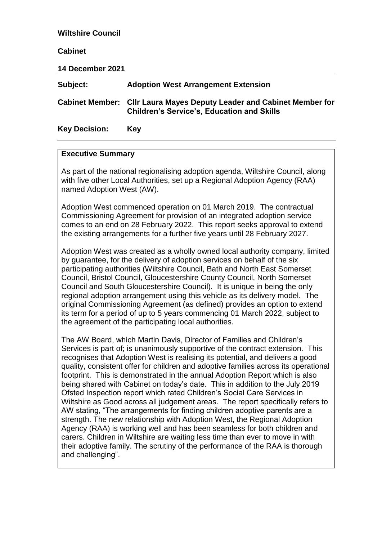| <b>Wiltshire Council</b> |                                                                                                                            |
|--------------------------|----------------------------------------------------------------------------------------------------------------------------|
| <b>Cabinet</b>           |                                                                                                                            |
| 14 December 2021         |                                                                                                                            |
| Subject:                 | <b>Adoption West Arrangement Extension</b>                                                                                 |
|                          | Cabinet Member: Cllr Laura Mayes Deputy Leader and Cabinet Member for<br><b>Children's Service's, Education and Skills</b> |
| <b>Key Decision:</b>     | Key                                                                                                                        |

#### **Executive Summary**

As part of the national regionalising adoption agenda, Wiltshire Council, along with five other Local Authorities, set up a Regional Adoption Agency (RAA) named Adoption West (AW).

Adoption West commenced operation on 01 March 2019. The contractual Commissioning Agreement for provision of an integrated adoption service comes to an end on 28 February 2022. This report seeks approval to extend the existing arrangements for a further five years until 28 February 2027.

Adoption West was created as a wholly owned local authority company, limited by guarantee, for the delivery of adoption services on behalf of the six participating authorities (Wiltshire Council, Bath and North East Somerset Council, Bristol Council, Gloucestershire County Council, North Somerset Council and South Gloucestershire Council). It is unique in being the only regional adoption arrangement using this vehicle as its delivery model. The original Commissioning Agreement (as defined) provides an option to extend its term for a period of up to 5 years commencing 01 March 2022, subject to the agreement of the participating local authorities.

The AW Board, which Martin Davis, Director of Families and Children's Services is part of; is unanimously supportive of the contract extension. This recognises that Adoption West is realising its potential, and delivers a good quality, consistent offer for children and adoptive families across its operational footprint. This is demonstrated in the annual Adoption Report which is also being shared with Cabinet on today's date. This in addition to the July 2019 Ofsted Inspection report which rated Children's Social Care Services in Wiltshire as Good across all judgement areas. The report specifically refers to AW stating, "The arrangements for finding children adoptive parents are a strength. The new relationship with Adoption West, the Regional Adoption Agency (RAA) is working well and has been seamless for both children and carers. Children in Wiltshire are waiting less time than ever to move in with their adoptive family. The scrutiny of the performance of the RAA is thorough and challenging".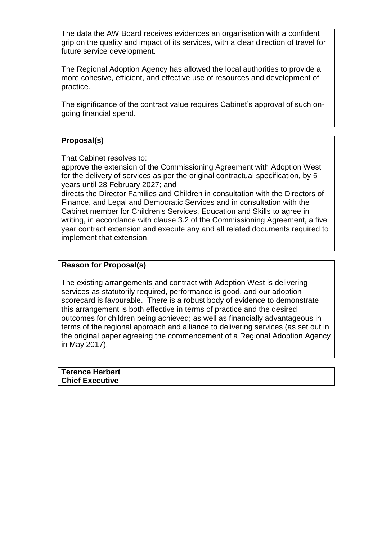The data the AW Board receives evidences an organisation with a confident grip on the quality and impact of its services, with a clear direction of travel for future service development.

The Regional Adoption Agency has allowed the local authorities to provide a more cohesive, efficient, and effective use of resources and development of practice.

The significance of the contract value requires Cabinet's approval of such ongoing financial spend.

# **Proposal(s)**

That Cabinet resolves to:

approve the extension of the Commissioning Agreement with Adoption West for the delivery of services as per the original contractual specification, by 5 years until 28 February 2027; and

directs the Director Families and Children in consultation with the Directors of Finance, and Legal and Democratic Services and in consultation with the Cabinet member for Children's Services, Education and Skills to agree in writing, in accordance with clause 3.2 of the Commissioning Agreement, a five year contract extension and execute any and all related documents required to implement that extension.

## **Reason for Proposal(s)**

The existing arrangements and contract with Adoption West is delivering services as statutorily required, performance is good, and our adoption scorecard is favourable. There is a robust body of evidence to demonstrate this arrangement is both effective in terms of practice and the desired outcomes for children being achieved; as well as financially advantageous in terms of the regional approach and alliance to delivering services (as set out in the original paper agreeing the commencement of a Regional Adoption Agency in May 2017).

**Terence Herbert Chief Executive**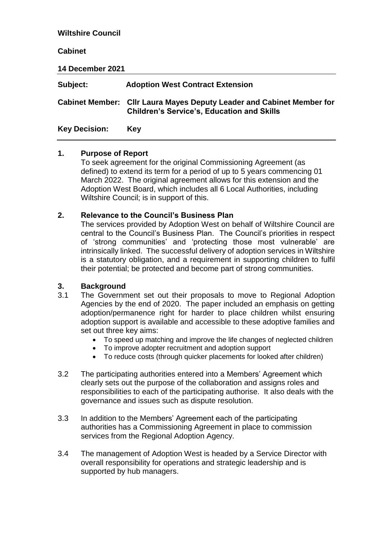# **Wiltshire Council Cabinet 14 December 2021 Subject: Adoption West Contract Extension Cabinet Member: Cllr Laura Mayes Deputy Leader and Cabinet Member for Children's Service's, Education and Skills Key Decision: Key**

#### **1. Purpose of Report**

To seek agreement for the original Commissioning Agreement (as defined) to extend its term for a period of up to 5 years commencing 01 March 2022. The original agreement allows for this extension and the Adoption West Board, which includes all 6 Local Authorities, including Wiltshire Council; is in support of this.

## **2. Relevance to the Council's Business Plan**

The services provided by Adoption West on behalf of Wiltshire Council are central to the Council's Business Plan. The Council's priorities in respect of 'strong communities' and 'protecting those most vulnerable' are intrinsically linked. The successful delivery of adoption services in Wiltshire is a statutory obligation, and a requirement in supporting children to fulfil their potential; be protected and become part of strong communities.

## **3. Background**

- 3.1 The Government set out their proposals to move to Regional Adoption Agencies by the end of 2020. The paper included an emphasis on getting adoption/permanence right for harder to place children whilst ensuring adoption support is available and accessible to these adoptive families and set out three key aims:
	- To speed up matching and improve the life changes of neglected children
	- To improve adopter recruitment and adoption support
	- To reduce costs (through quicker placements for looked after children)
- 3.2 The participating authorities entered into a Members' Agreement which clearly sets out the purpose of the collaboration and assigns roles and responsibilities to each of the participating authorise. It also deals with the governance and issues such as dispute resolution.
- 3.3 In addition to the Members' Agreement each of the participating authorities has a Commissioning Agreement in place to commission services from the Regional Adoption Agency.
- 3.4 The management of Adoption West is headed by a Service Director with overall responsibility for operations and strategic leadership and is supported by hub managers.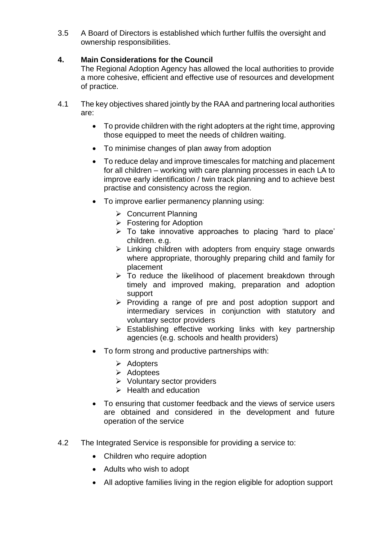3.5 A Board of Directors is established which further fulfils the oversight and ownership responsibilities.

# **4. Main Considerations for the Council**

The Regional Adoption Agency has allowed the local authorities to provide a more cohesive, efficient and effective use of resources and development of practice.

- 4.1 The key objectives shared jointly by the RAA and partnering local authorities are:
	- To provide children with the right adopters at the right time, approving those equipped to meet the needs of children waiting.
	- To minimise changes of plan away from adoption
	- To reduce delay and improve timescales for matching and placement for all children – working with care planning processes in each LA to improve early identification / twin track planning and to achieve best practise and consistency across the region.
	- To improve earlier permanency planning using:
		- **► Concurrent Planning**
		- **Fostering for Adoption**
		- $\triangleright$  To take innovative approaches to placing 'hard to place' children. e.g.
		- $\triangleright$  Linking children with adopters from enquiry stage onwards where appropriate, thoroughly preparing child and family for placement
		- $\triangleright$  To reduce the likelihood of placement breakdown through timely and improved making, preparation and adoption support
		- $\triangleright$  Providing a range of pre and post adoption support and intermediary services in conjunction with statutory and voluntary sector providers
		- > Establishing effective working links with key partnership agencies (e.g. schools and health providers)
	- To form strong and productive partnerships with:
		- $\triangleright$  Adopters
		- $\triangleright$  Adoptees
		- Voluntary sector providers
		- $\triangleright$  Health and education
	- To ensuring that customer feedback and the views of service users are obtained and considered in the development and future operation of the service
- 4.2 The Integrated Service is responsible for providing a service to:
	- Children who require adoption
	- Adults who wish to adopt
	- All adoptive families living in the region eligible for adoption support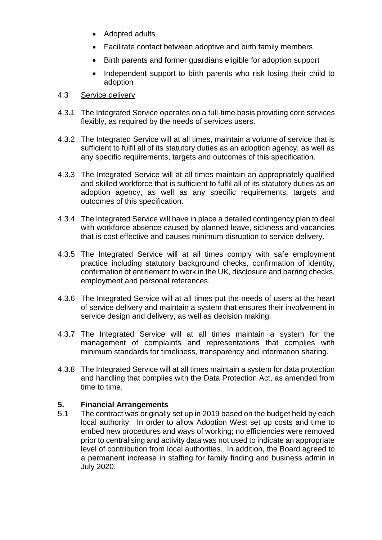- Adopted adults
- Facilitate contact between adoptive and birth family members
- Birth parents and former guardians eligible for adoption support
- Independent support to birth parents who risk losing their child to adoption
- 4.3 Service delivery
- 4.3.1 The Integrated Service operates on a full-time basis providing core services flexibly, as required by the needs of services users.
- 4.3.2 The Integrated Service will at all times, maintain a volume of service that is sufficient to fulfil all of its statutory duties as an adoption agency, as well as any specific requirements, targets and outcomes of this specification.
- 4.3.3 The Integrated Service will at all times maintain an appropriately qualified and skilled workforce that is sufficient to fulfil all of its statutory duties as an adoption agency, as well as any specific requirements, targets and outcomes of this specification.
- 4.3.4 The Integrated Service will have in place a detailed contingency plan to deal with workforce absence caused by planned leave, sickness and vacancies that is cost effective and causes minimum disruption to service delivery.
- 4.3.5 The Integrated Service will at all times comply with safe employment practice including statutory background checks, confirmation of identity, confirmation of entitlement to work in the UK, disclosure and barring checks, employment and personal references.
- 4.3.6 The Integrated Service will at all times put the needs of users at the heart of service delivery and maintain a system that ensures their involvement in service design and delivery, as well as decision making.
- 4.3.7 The Integrated Service will at all times maintain a system for the management of complaints and representations that complies with minimum standards for timeliness, transparency and information sharing.
- 4.3.8 The Integrated Service will at all times maintain a system for data protection and handling that complies with the Data Protection Act, as amended from time to time.

# **5. Financial Arrangements**

5.1 The contract was originally set up in 2019 based on the budget held by each local authority. In order to allow Adoption West set up costs and time to embed new procedures and ways of working; no efficiencies were removed prior to centralising and activity data was not used to indicate an appropriate level of contribution from local authorities. In addition, the Board agreed to a permanent increase in staffing for family finding and business admin in July 2020.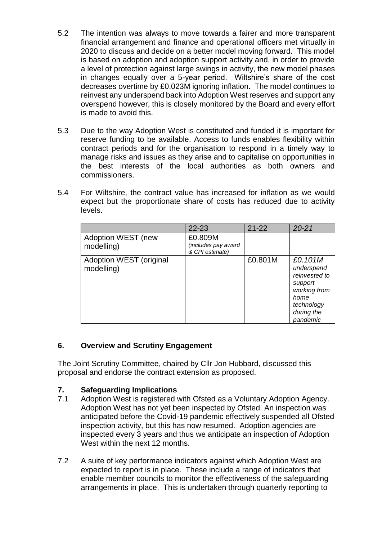- 5.2 The intention was always to move towards a fairer and more transparent financial arrangement and finance and operational officers met virtually in 2020 to discuss and decide on a better model moving forward. This model is based on adoption and adoption support activity and, in order to provide a level of protection against large swings in activity, the new model phases in changes equally over a 5-year period. Wiltshire's share of the cost decreases overtime by £0.023M ignoring inflation. The model continues to reinvest any underspend back into Adoption West reserves and support any overspend however, this is closely monitored by the Board and every effort is made to avoid this.
- 5.3 Due to the way Adoption West is constituted and funded it is important for reserve funding to be available. Access to funds enables flexibility within contract periods and for the organisation to respond in a timely way to manage risks and issues as they arise and to capitalise on opportunities in the best interests of the local authorities as both owners and commissioners.
- 5.4 For Wiltshire, the contract value has increased for inflation as we would expect but the proportionate share of costs has reduced due to activity levels.

|                                       | $22 - 23$                                         | $21 - 22$ | $20 - 21$                                                                                                         |
|---------------------------------------|---------------------------------------------------|-----------|-------------------------------------------------------------------------------------------------------------------|
| Adoption WEST (new<br>modelling)      | £0.809M<br>(includes pay award<br>& CPI estimate) |           |                                                                                                                   |
| Adoption WEST (original<br>modelling) |                                                   | £0.801M   | £0.101M<br>underspend<br>reinvested to<br>support<br>working from<br>home<br>technology<br>during the<br>pandemic |

# **6. Overview and Scrutiny Engagement**

The Joint Scrutiny Committee, chaired by Cllr Jon Hubbard, discussed this proposal and endorse the contract extension as proposed.

## **7. Safeguarding Implications**

- 7.1 Adoption West is registered with Ofsted as a Voluntary Adoption Agency. Adoption West has not yet been inspected by Ofsted. An inspection was anticipated before the Covid-19 pandemic effectively suspended all Ofsted inspection activity, but this has now resumed. Adoption agencies are inspected every 3 years and thus we anticipate an inspection of Adoption West within the next 12 months.
- 7.2 A suite of key performance indicators against which Adoption West are expected to report is in place. These include a range of indicators that enable member councils to monitor the effectiveness of the safeguarding arrangements in place. This is undertaken through quarterly reporting to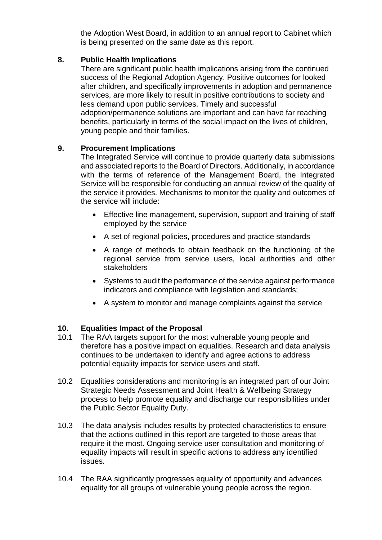the Adoption West Board, in addition to an annual report to Cabinet which is being presented on the same date as this report.

## **8. Public Health Implications**

There are significant public health implications arising from the continued success of the Regional Adoption Agency. Positive outcomes for looked after children, and specifically improvements in adoption and permanence services, are more likely to result in positive contributions to society and less demand upon public services. Timely and successful adoption/permanence solutions are important and can have far reaching benefits, particularly in terms of the social impact on the lives of children, young people and their families.

## **9. Procurement Implications**

The Integrated Service will continue to provide quarterly data submissions and associated reports to the Board of Directors. Additionally, in accordance with the terms of reference of the Management Board, the Integrated Service will be responsible for conducting an annual review of the quality of the service it provides. Mechanisms to monitor the quality and outcomes of the service will include:

- Effective line management, supervision, support and training of staff employed by the service
- A set of regional policies, procedures and practice standards
- A range of methods to obtain feedback on the functioning of the regional service from service users, local authorities and other stakeholders
- Systems to audit the performance of the service against performance indicators and compliance with legislation and standards;
- A system to monitor and manage complaints against the service

# **10. Equalities Impact of the Proposal**

- 10.1 The RAA targets support for the most vulnerable young people and therefore has a positive impact on equalities. Research and data analysis continues to be undertaken to identify and agree actions to address potential equality impacts for service users and staff.
- 10.2 Equalities considerations and monitoring is an integrated part of our Joint Strategic Needs Assessment and Joint Health & Wellbeing Strategy process to help promote equality and discharge our responsibilities under the Public Sector Equality Duty.
- 10.3 The data analysis includes results by protected characteristics to ensure that the actions outlined in this report are targeted to those areas that require it the most. Ongoing service user consultation and monitoring of equality impacts will result in specific actions to address any identified issues.
- 10.4 The RAA significantly progresses equality of opportunity and advances equality for all groups of vulnerable young people across the region.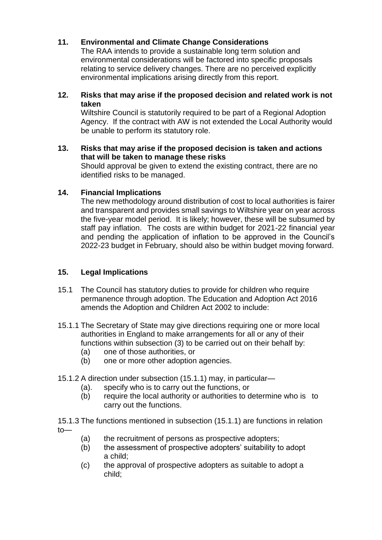# **11. Environmental and Climate Change Considerations**

The RAA intends to provide a sustainable long term solution and environmental considerations will be factored into specific proposals relating to service delivery changes. There are no perceived explicitly environmental implications arising directly from this report.

## **12. Risks that may arise if the proposed decision and related work is not taken**

Wiltshire Council is statutorily required to be part of a Regional Adoption Agency. If the contract with AW is not extended the Local Authority would be unable to perform its statutory role.

## **13. Risks that may arise if the proposed decision is taken and actions that will be taken to manage these risks**

Should approval be given to extend the existing contract, there are no identified risks to be managed.

## **14. Financial Implications**

The new methodology around distribution of cost to local authorities is fairer and transparent and provides small savings to Wiltshire year on year across the five-year model period. It is likely; however, these will be subsumed by staff pay inflation. The costs are within budget for 2021-22 financial year and pending the application of inflation to be approved in the Council's 2022-23 budget in February, should also be within budget moving forward.

# **15. Legal Implications**

- 15.1 The Council has statutory duties to provide for children who require permanence through adoption. The Education and Adoption Act 2016 amends the Adoption and Children Act 2002 to include:
- 15.1.1 The Secretary of State may give directions requiring one or more local authorities in England to make arrangements for all or any of their functions within subsection (3) to be carried out on their behalf by:
	- (a) one of those authorities, or
	- (b) one or more other adoption agencies.
- 15.1.2 A direction under subsection (15.1.1) may, in particular—
	- (a). specify who is to carry out the functions, or
	- (b) require the local authority or authorities to determine who is to carry out the functions.

15.1.3 The functions mentioned in subsection (15.1.1) are functions in relation to—

- (a) the recruitment of persons as prospective adopters;
- (b) the assessment of prospective adopters' suitability to adopt a child;
- (c) the approval of prospective adopters as suitable to adopt a child;